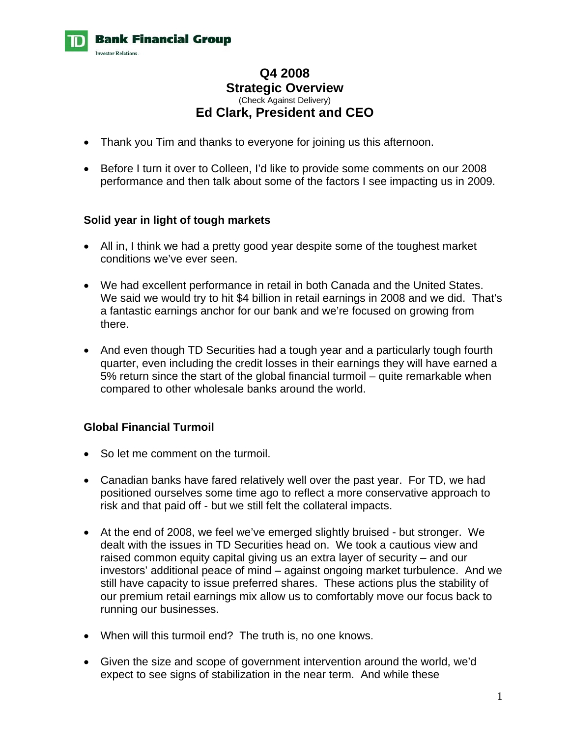

# **Q4 2008 Strategic Overview**  (Check Against Delivery) **Ed Clark, President and CEO**

- Thank you Tim and thanks to everyone for joining us this afternoon.
- Before I turn it over to Colleen, I'd like to provide some comments on our 2008 performance and then talk about some of the factors I see impacting us in 2009.

#### **Solid year in light of tough markets**

- All in, I think we had a pretty good year despite some of the toughest market conditions we've ever seen.
- We had excellent performance in retail in both Canada and the United States. We said we would try to hit \$4 billion in retail earnings in 2008 and we did. That's a fantastic earnings anchor for our bank and we're focused on growing from there.
- And even though TD Securities had a tough year and a particularly tough fourth quarter, even including the credit losses in their earnings they will have earned a 5% return since the start of the global financial turmoil – quite remarkable when compared to other wholesale banks around the world.

## **Global Financial Turmoil**

- So let me comment on the turmoil.
- Canadian banks have fared relatively well over the past year. For TD, we had positioned ourselves some time ago to reflect a more conservative approach to risk and that paid off - but we still felt the collateral impacts.
- At the end of 2008, we feel we've emerged slightly bruised but stronger. We dealt with the issues in TD Securities head on. We took a cautious view and raised common equity capital giving us an extra layer of security – and our investors' additional peace of mind – against ongoing market turbulence. And we still have capacity to issue preferred shares. These actions plus the stability of our premium retail earnings mix allow us to comfortably move our focus back to running our businesses.
- When will this turmoil end? The truth is, no one knows.
- Given the size and scope of government intervention around the world, we'd expect to see signs of stabilization in the near term. And while these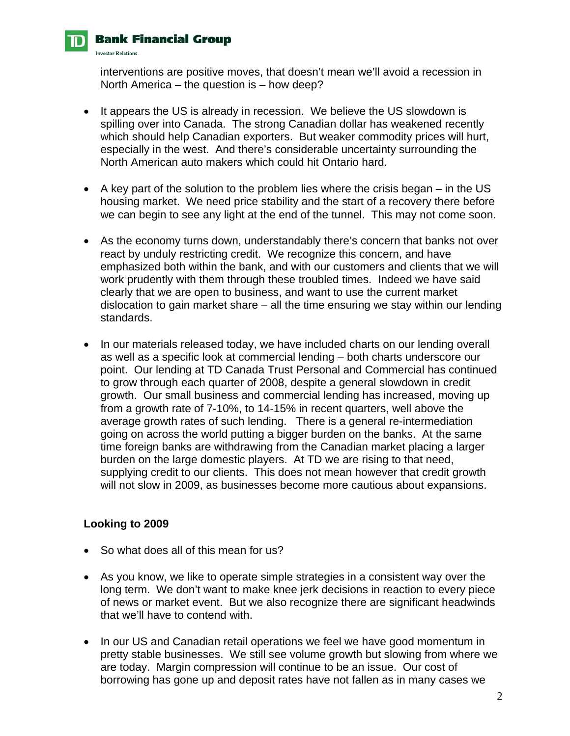# **Bank Financial Group**

**Investor Relations.** 

interventions are positive moves, that doesn't mean we'll avoid a recession in North America – the question is – how deep?

- It appears the US is already in recession. We believe the US slowdown is spilling over into Canada. The strong Canadian dollar has weakened recently which should help Canadian exporters. But weaker commodity prices will hurt, especially in the west. And there's considerable uncertainty surrounding the North American auto makers which could hit Ontario hard.
- A key part of the solution to the problem lies where the crisis began in the US housing market. We need price stability and the start of a recovery there before we can begin to see any light at the end of the tunnel. This may not come soon.
- As the economy turns down, understandably there's concern that banks not over react by unduly restricting credit. We recognize this concern, and have emphasized both within the bank, and with our customers and clients that we will work prudently with them through these troubled times. Indeed we have said clearly that we are open to business, and want to use the current market dislocation to gain market share – all the time ensuring we stay within our lending standards.
- In our materials released today, we have included charts on our lending overall as well as a specific look at commercial lending – both charts underscore our point. Our lending at TD Canada Trust Personal and Commercial has continued to grow through each quarter of 2008, despite a general slowdown in credit growth. Our small business and commercial lending has increased, moving up from a growth rate of 7-10%, to 14-15% in recent quarters, well above the average growth rates of such lending. There is a general re-intermediation going on across the world putting a bigger burden on the banks. At the same time foreign banks are withdrawing from the Canadian market placing a larger burden on the large domestic players. At TD we are rising to that need, supplying credit to our clients. This does not mean however that credit growth will not slow in 2009, as businesses become more cautious about expansions.

## **Looking to 2009**

- So what does all of this mean for us?
- As you know, we like to operate simple strategies in a consistent way over the long term. We don't want to make knee jerk decisions in reaction to every piece of news or market event. But we also recognize there are significant headwinds that we'll have to contend with.
- In our US and Canadian retail operations we feel we have good momentum in pretty stable businesses. We still see volume growth but slowing from where we are today. Margin compression will continue to be an issue. Our cost of borrowing has gone up and deposit rates have not fallen as in many cases we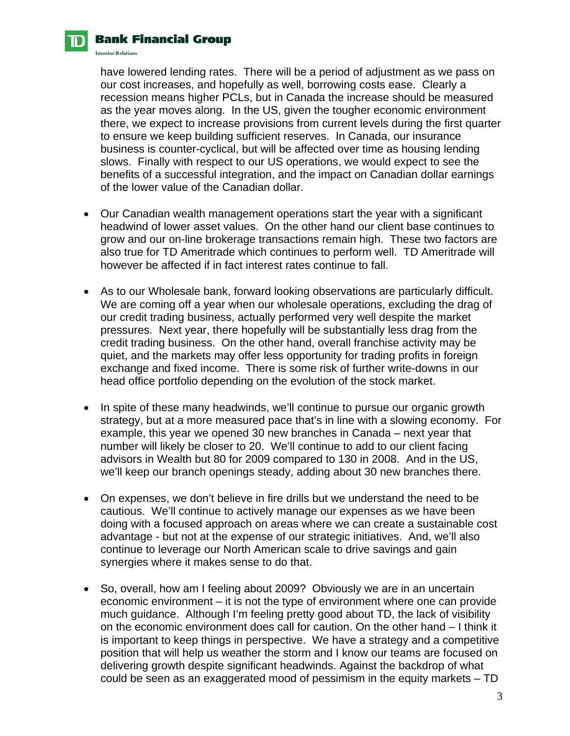

#### **Bank Financial Group**

**Investor Relations.** 

have lowered lending rates. There will be a period of adjustment as we pass on our cost increases, and hopefully as well, borrowing costs ease. Clearly a recession means higher PCLs, but in Canada the increase should be measured as the year moves along. In the US, given the tougher economic environment there, we expect to increase provisions from current levels during the first quarter to ensure we keep building sufficient reserves. In Canada, our insurance business is counter-cyclical, but will be affected over time as housing lending slows. Finally with respect to our US operations, we would expect to see the benefits of a successful integration, and the impact on Canadian dollar earnings of the lower value of the Canadian dollar.

- Our Canadian wealth management operations start the year with a significant headwind of lower asset values. On the other hand our client base continues to grow and our on-line brokerage transactions remain high. These two factors are also true for TD Ameritrade which continues to perform well. TD Ameritrade will however be affected if in fact interest rates continue to fall.
- As to our Wholesale bank, forward looking observations are particularly difficult. We are coming off a year when our wholesale operations, excluding the drag of our credit trading business, actually performed very well despite the market pressures. Next year, there hopefully will be substantially less drag from the credit trading business. On the other hand, overall franchise activity may be quiet, and the markets may offer less opportunity for trading profits in foreign exchange and fixed income. There is some risk of further write-downs in our head office portfolio depending on the evolution of the stock market.
- In spite of these many headwinds, we'll continue to pursue our organic growth strategy, but at a more measured pace that's in line with a slowing economy. For example, this year we opened 30 new branches in Canada – next year that number will likely be closer to 20. We'll continue to add to our client facing advisors in Wealth but 80 for 2009 compared to 130 in 2008. And in the US, we'll keep our branch openings steady, adding about 30 new branches there.
- On expenses, we don't believe in fire drills but we understand the need to be cautious. We'll continue to actively manage our expenses as we have been doing with a focused approach on areas where we can create a sustainable cost advantage - but not at the expense of our strategic initiatives. And, we'll also continue to leverage our North American scale to drive savings and gain synergies where it makes sense to do that.
- So, overall, how am I feeling about 2009? Obviously we are in an uncertain economic environment – it is not the type of environment where one can provide much guidance. Although I'm feeling pretty good about TD, the lack of visibility on the economic environment does call for caution. On the other hand – I think it is important to keep things in perspective. We have a strategy and a competitive position that will help us weather the storm and I know our teams are focused on delivering growth despite significant headwinds. Against the backdrop of what could be seen as an exaggerated mood of pessimism in the equity markets – TD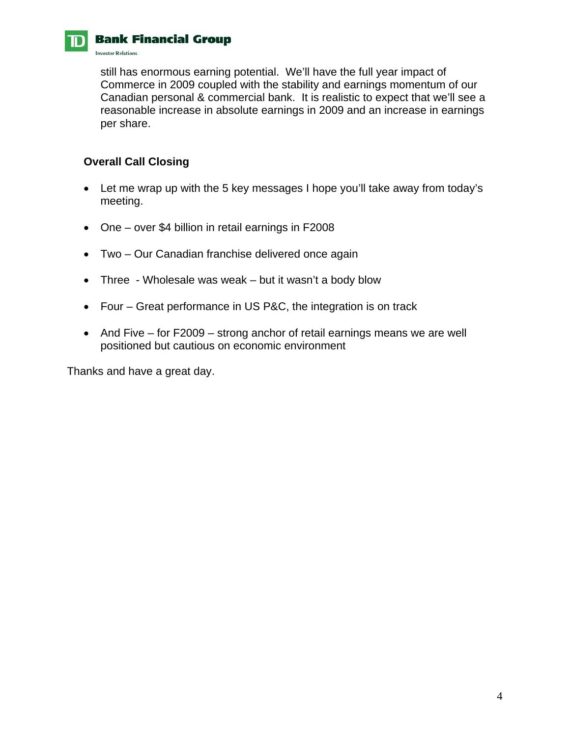

# **CONFIDENTIAL GRADE BRANCH GRADE**

**Investor Relations.** 

still has enormous earning potential. We'll have the full year impact of Commerce in 2009 coupled with the stability and earnings momentum of our Canadian personal & commercial bank. It is realistic to expect that we'll see a reasonable increase in absolute earnings in 2009 and an increase in earnings per share.

#### **Overall Call Closing**

- Let me wrap up with the 5 key messages I hope you'll take away from today's meeting.
- One over \$4 billion in retail earnings in F2008
- Two Our Canadian franchise delivered once again
- Three Wholesale was weak but it wasn't a body blow
- Four Great performance in US P&C, the integration is on track
- And Five for F2009 strong anchor of retail earnings means we are well positioned but cautious on economic environment

Thanks and have a great day.